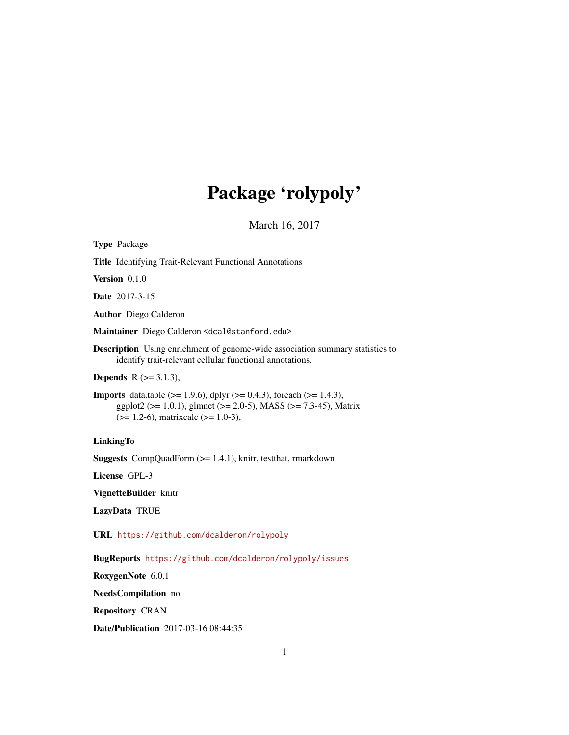# Package 'rolypoly'

March 16, 2017

| <b>Type Package</b>                                                                                                                                                                                                      |
|--------------------------------------------------------------------------------------------------------------------------------------------------------------------------------------------------------------------------|
| <b>Title</b> Identifying Trait-Relevant Functional Annotations                                                                                                                                                           |
| <b>Version</b> $0.1.0$                                                                                                                                                                                                   |
| <b>Date</b> 2017-3-15                                                                                                                                                                                                    |
| <b>Author</b> Diego Calderon                                                                                                                                                                                             |
| Maintainer Diego Calderon <dcal@stanford.edu></dcal@stanford.edu>                                                                                                                                                        |
| <b>Description</b> Using enrichment of genome-wide association summary statistics to<br>identify trait-relevant cellular functional annotations.                                                                         |
| <b>Depends</b> $R (= 3.1.3)$ ,                                                                                                                                                                                           |
| <b>Imports</b> data.table ( $> = 1.9.6$ ), dplyr ( $> = 0.4.3$ ), foreach ( $> = 1.4.3$ ),<br>ggplot2 ( $> = 1.0.1$ ), glmnet ( $> = 2.0-5$ ), MASS ( $> = 7.3-45$ ), Matrix<br>$(>= 1.2-6)$ , matrixcalc $(>= 1.0-3)$ , |
|                                                                                                                                                                                                                          |

### LinkingTo

Suggests CompQuadForm (>= 1.4.1), knitr, testthat, rmarkdown

License GPL-3

VignetteBuilder knitr

LazyData TRUE

URL <https://github.com/dcalderon/rolypoly>

BugReports <https://github.com/dcalderon/rolypoly/issues>

RoxygenNote 6.0.1

NeedsCompilation no

Repository CRAN

Date/Publication 2017-03-16 08:44:35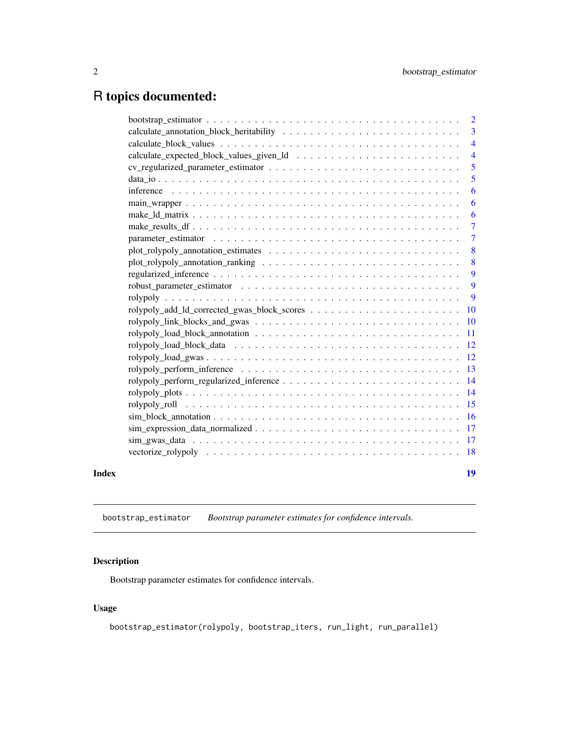### <span id="page-1-0"></span>R topics documented:

|       | $\overline{2}$ |
|-------|----------------|
|       | $\overline{3}$ |
|       | $\overline{4}$ |
|       | $\overline{4}$ |
|       | 5              |
|       | 5              |
|       | 6              |
|       | 6              |
|       | 6              |
|       | $\overline{7}$ |
|       | $\overline{7}$ |
|       | 8              |
|       | - 8            |
|       | 9              |
|       | 9              |
|       | - 9            |
|       |                |
|       |                |
|       |                |
|       |                |
|       |                |
|       |                |
|       |                |
|       |                |
|       |                |
|       |                |
|       |                |
|       |                |
|       |                |
| Index | 19             |
|       |                |

bootstrap\_estimator *Bootstrap parameter estimates for confidence intervals.*

#### Description

Bootstrap parameter estimates for confidence intervals.

#### Usage

```
bootstrap_estimator(rolypoly, bootstrap_iters, run_light, run_parallel)
```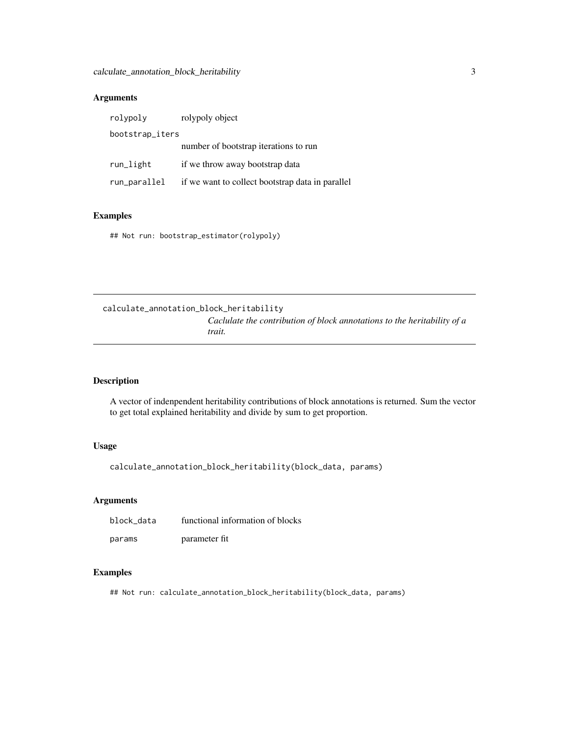#### <span id="page-2-0"></span>Arguments

| rolypoly        | rolypoly object                                  |
|-----------------|--------------------------------------------------|
| bootstrap_iters |                                                  |
|                 | number of bootstrap iterations to run            |
| run_light       | if we throw away bootstrap data                  |
| run_parallel    | if we want to collect bootstrap data in parallel |

#### Examples

## Not run: bootstrap\_estimator(rolypoly)

calculate\_annotation\_block\_heritability *Caclulate the contribution of block annotations to the heritability of a trait.*

#### Description

A vector of indenpendent heritability contributions of block annotations is returned. Sum the vector to get total explained heritability and divide by sum to get proportion.

#### Usage

calculate\_annotation\_block\_heritability(block\_data, params)

#### Arguments

| block data | functional information of blocks |
|------------|----------------------------------|
| params     | parameter fit                    |

#### Examples

## Not run: calculate\_annotation\_block\_heritability(block\_data, params)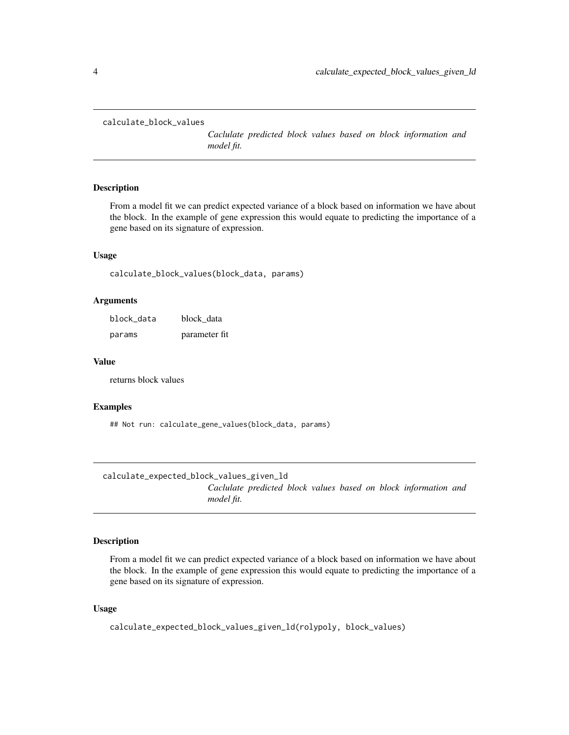<span id="page-3-0"></span>calculate\_block\_values

*Caclulate predicted block values based on block information and model fit.*

#### Description

From a model fit we can predict expected variance of a block based on information we have about the block. In the example of gene expression this would equate to predicting the importance of a gene based on its signature of expression.

#### Usage

calculate\_block\_values(block\_data, params)

#### Arguments

| block_data | block data    |
|------------|---------------|
| params     | parameter fit |

#### Value

returns block values

#### Examples

## Not run: calculate\_gene\_values(block\_data, params)

calculate\_expected\_block\_values\_given\_ld *Caclulate predicted block values based on block information and model fit.*

#### Description

From a model fit we can predict expected variance of a block based on information we have about the block. In the example of gene expression this would equate to predicting the importance of a gene based on its signature of expression.

#### Usage

calculate\_expected\_block\_values\_given\_ld(rolypoly, block\_values)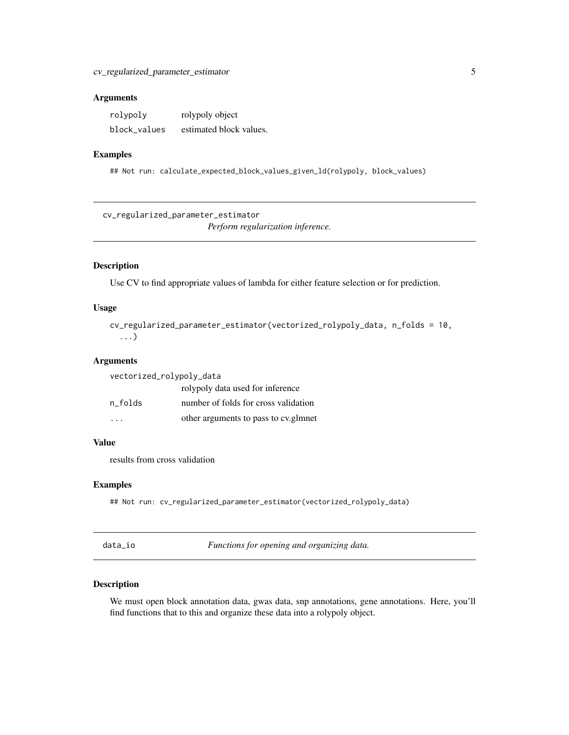#### <span id="page-4-0"></span>Arguments

| rolypoly     | rolypoly object         |
|--------------|-------------------------|
| block_values | estimated block values. |

#### Examples

## Not run: calculate\_expected\_block\_values\_given\_ld(rolypoly, block\_values)

cv\_regularized\_parameter\_estimator *Perform regularization inference.*

#### Description

Use CV to find appropriate values of lambda for either feature selection or for prediction.

#### Usage

```
cv_regularized_parameter_estimator(vectorized_rolypoly_data, n_folds = 10,
  ...)
```
#### Arguments

| vectorized_rolypoly_data |                                      |
|--------------------------|--------------------------------------|
|                          | rolypoly data used for inference     |
| n folds                  | number of folds for cross validation |
|                          | other arguments to pass to cv.glmnet |

#### Value

results from cross validation

#### Examples

```
## Not run: cv_regularized_parameter_estimator(vectorized_rolypoly_data)
```
data\_io *Functions for opening and organizing data.*

#### Description

We must open block annotation data, gwas data, snp annotations, gene annotations. Here, you'll find functions that to this and organize these data into a rolypoly object.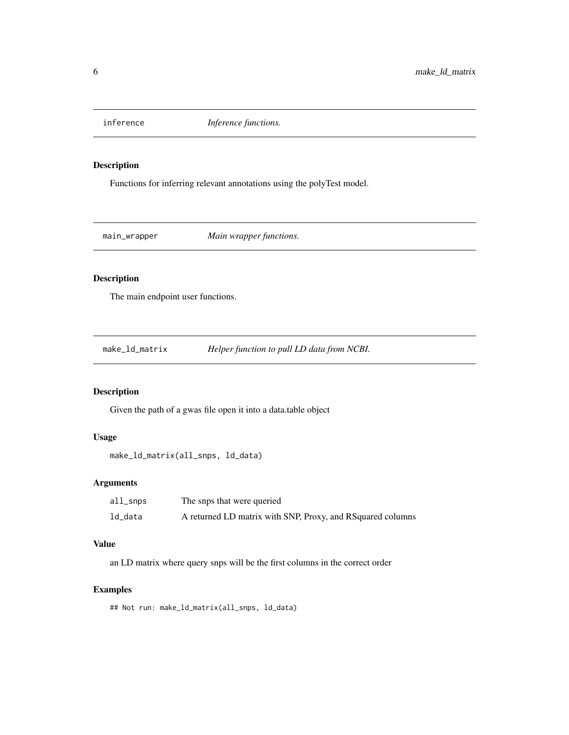<span id="page-5-0"></span>inference *Inference functions.*

#### Description

Functions for inferring relevant annotations using the polyTest model.

main\_wrapper *Main wrapper functions.*

#### Description

The main endpoint user functions.

make\_ld\_matrix *Helper function to pull LD data from NCBI.*

#### Description

Given the path of a gwas file open it into a data.table object

#### Usage

```
make_ld_matrix(all_snps, ld_data)
```
#### Arguments

| all_snps | The snps that were queried                                 |
|----------|------------------------------------------------------------|
| ld_data  | A returned LD matrix with SNP, Proxy, and RSquared columns |

#### Value

an LD matrix where query snps will be the first columns in the correct order

#### Examples

## Not run: make\_ld\_matrix(all\_snps, ld\_data)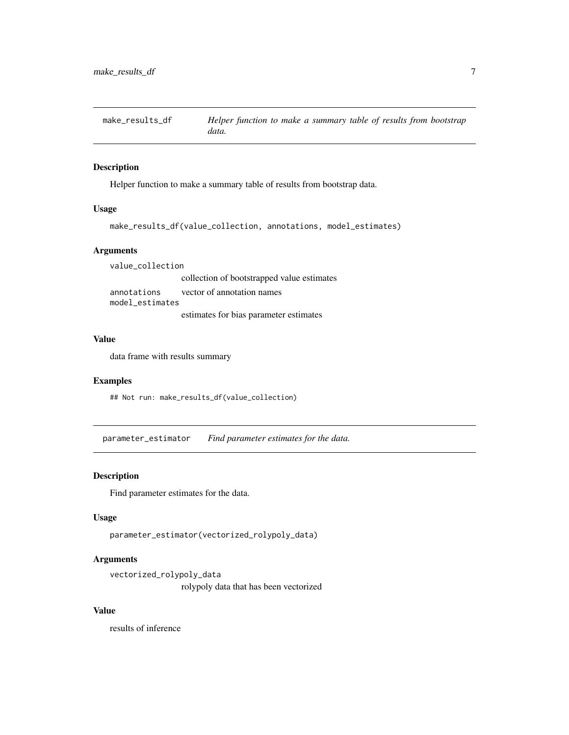<span id="page-6-0"></span>

#### Description

Helper function to make a summary table of results from bootstrap data.

#### Usage

```
make_results_df(value_collection, annotations, model_estimates)
```
#### Arguments

value\_collection

collection of bootstrapped value estimates annotations vector of annotation names model\_estimates estimates for bias parameter estimates

#### Value

data frame with results summary

#### Examples

## Not run: make\_results\_df(value\_collection)

parameter\_estimator *Find parameter estimates for the data.*

#### Description

Find parameter estimates for the data.

#### Usage

parameter\_estimator(vectorized\_rolypoly\_data)

#### Arguments

```
vectorized_rolypoly_data
                 rolypoly data that has been vectorized
```
#### Value

results of inference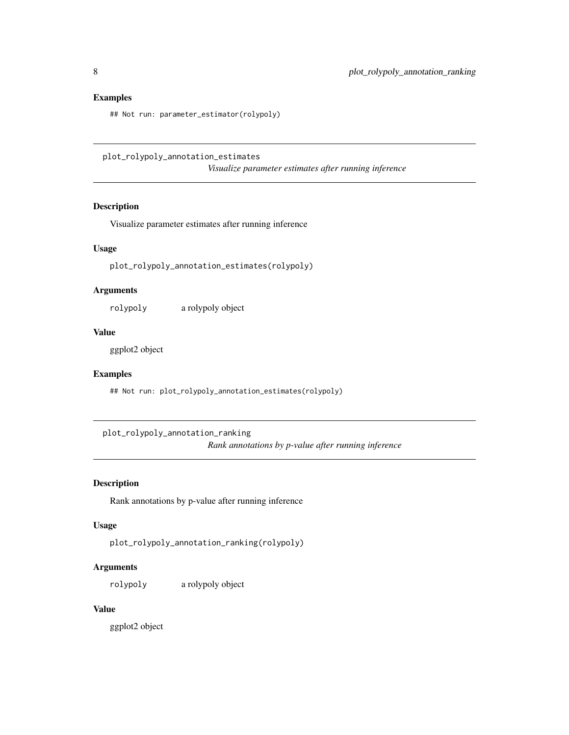#### <span id="page-7-0"></span>Examples

## Not run: parameter\_estimator(rolypoly)

plot\_rolypoly\_annotation\_estimates

*Visualize parameter estimates after running inference*

#### Description

Visualize parameter estimates after running inference

#### Usage

plot\_rolypoly\_annotation\_estimates(rolypoly)

#### Arguments

rolypoly a rolypoly object

#### Value

ggplot2 object

#### Examples

## Not run: plot\_rolypoly\_annotation\_estimates(rolypoly)

plot\_rolypoly\_annotation\_ranking

*Rank annotations by p-value after running inference*

#### Description

Rank annotations by p-value after running inference

#### Usage

```
plot_rolypoly_annotation_ranking(rolypoly)
```
#### Arguments

rolypoly a rolypoly object

#### Value

ggplot2 object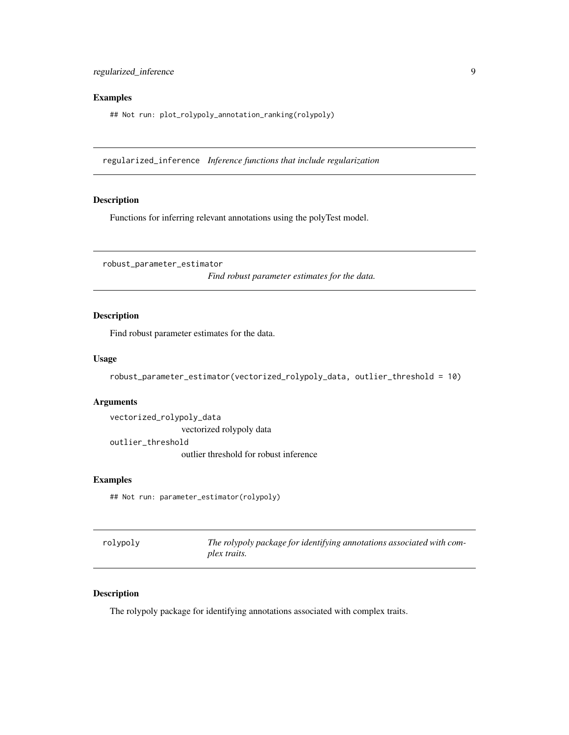#### <span id="page-8-0"></span>Examples

## Not run: plot\_rolypoly\_annotation\_ranking(rolypoly)

regularized\_inference *Inference functions that include regularization*

#### Description

Functions for inferring relevant annotations using the polyTest model.

robust\_parameter\_estimator

*Find robust parameter estimates for the data.*

#### Description

Find robust parameter estimates for the data.

#### Usage

robust\_parameter\_estimator(vectorized\_rolypoly\_data, outlier\_threshold = 10)

#### Arguments

vectorized\_rolypoly\_data

vectorized rolypoly data

outlier\_threshold

outlier threshold for robust inference

#### Examples

## Not run: parameter\_estimator(rolypoly)

| rolypoly | The rolypoly package for identifying annotations associated with com- |
|----------|-----------------------------------------------------------------------|
|          | plex traits.                                                          |

#### Description

The rolypoly package for identifying annotations associated with complex traits.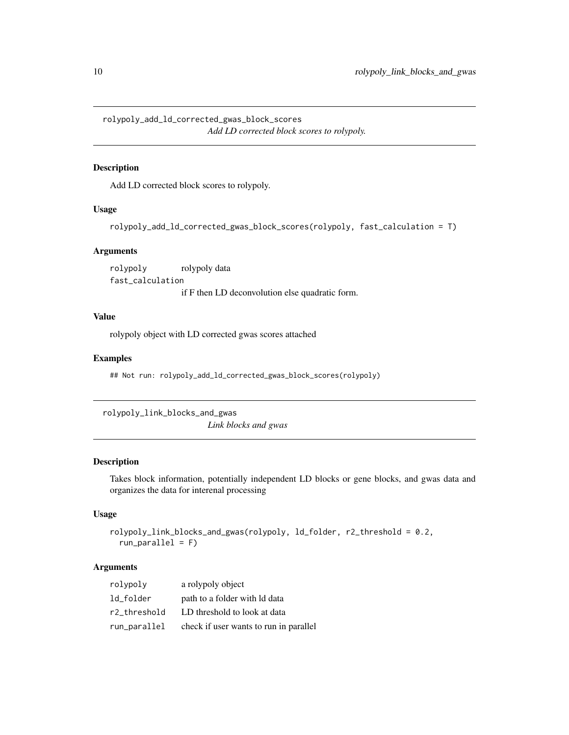<span id="page-9-0"></span>rolypoly\_add\_ld\_corrected\_gwas\_block\_scores *Add LD corrected block scores to rolypoly.*

#### Description

Add LD corrected block scores to rolypoly.

#### Usage

rolypoly\_add\_ld\_corrected\_gwas\_block\_scores(rolypoly, fast\_calculation = T)

#### Arguments

rolypoly rolypoly data fast\_calculation if F then LD deconvolution else quadratic form.

#### Value

rolypoly object with LD corrected gwas scores attached

#### Examples

## Not run: rolypoly\_add\_ld\_corrected\_gwas\_block\_scores(rolypoly)

rolypoly\_link\_blocks\_and\_gwas

*Link blocks and gwas*

#### Description

Takes block information, potentially independent LD blocks or gene blocks, and gwas data and organizes the data for interenal processing

#### Usage

```
rolypoly_link_blocks_and_gwas(rolypoly, ld_folder, r2_threshold = 0.2,
  run\_parallel = F)
```
#### Arguments

| rolypoly     | a rolypoly object                      |
|--------------|----------------------------------------|
| ld_folder    | path to a folder with ld data          |
| r2 threshold | LD threshold to look at data           |
| run_parallel | check if user wants to run in parallel |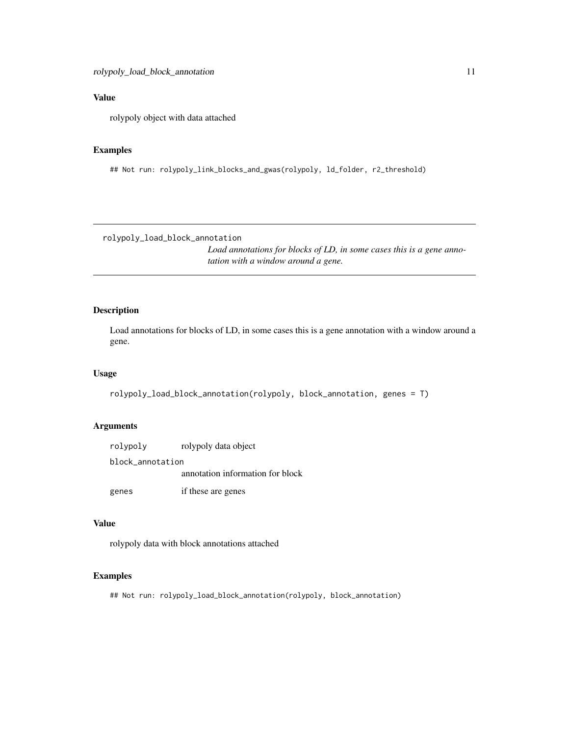#### <span id="page-10-0"></span>Value

rolypoly object with data attached

#### Examples

## Not run: rolypoly\_link\_blocks\_and\_gwas(rolypoly, ld\_folder, r2\_threshold)

rolypoly\_load\_block\_annotation

*Load annotations for blocks of LD, in some cases this is a gene annotation with a window around a gene.*

#### Description

Load annotations for blocks of LD, in some cases this is a gene annotation with a window around a gene.

#### Usage

rolypoly\_load\_block\_annotation(rolypoly, block\_annotation, genes = T)

#### Arguments

| rolypoly         | rolypoly data object             |
|------------------|----------------------------------|
| block annotation |                                  |
|                  | annotation information for block |
| genes            | if these are genes               |

#### Value

rolypoly data with block annotations attached

#### Examples

## Not run: rolypoly\_load\_block\_annotation(rolypoly, block\_annotation)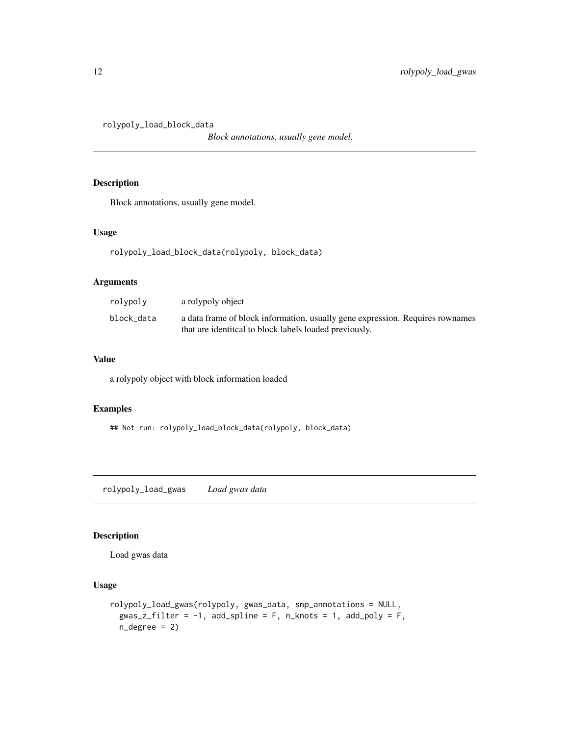<span id="page-11-0"></span>rolypoly\_load\_block\_data

*Block annotations, usually gene model.*

#### Description

Block annotations, usually gene model.

#### Usage

rolypoly\_load\_block\_data(rolypoly, block\_data)

#### Arguments

| rolypoly   | a rolypoly object                                                                                                                      |
|------------|----------------------------------------------------------------------------------------------------------------------------------------|
| block data | a data frame of block information, usually gene expression. Requires rownames<br>that are identited to block labels loaded previously. |

#### Value

a rolypoly object with block information loaded

#### Examples

## Not run: rolypoly\_load\_block\_data(rolypoly, block\_data)

rolypoly\_load\_gwas *Load gwas data*

#### Description

Load gwas data

#### Usage

```
rolypoly_load_gwas(rolypoly, gwas_data, snp_annotations = NULL,
 gwas_z_filter = -1, add_spline = F, n_knots = 1, add_poly = F,
 n<sup>degree = 2)</sup>
```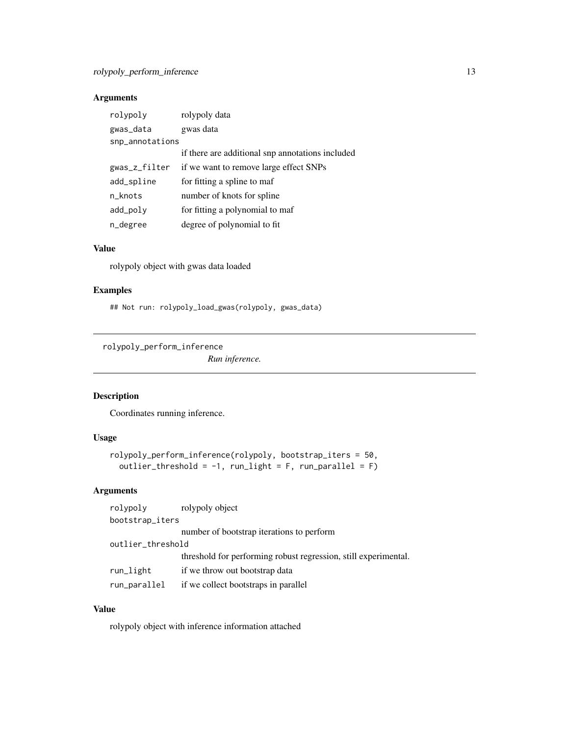#### <span id="page-12-0"></span>Arguments

| rolypoly        | rolypoly data                                    |  |
|-----------------|--------------------------------------------------|--|
| gwas_data       | gwas data                                        |  |
| snp_annotations |                                                  |  |
|                 | if there are additional snp annotations included |  |
| gwas_z_filter   | if we want to remove large effect SNPs           |  |
| add_spline      | for fitting a spline to maf                      |  |
| n_knots         | number of knots for spline                       |  |
| add_poly        | for fitting a polynomial to maf                  |  |
| n_degree        | degree of polynomial to fit.                     |  |

#### Value

rolypoly object with gwas data loaded

#### Examples

## Not run: rolypoly\_load\_gwas(rolypoly, gwas\_data)

rolypoly\_perform\_inference

*Run inference.*

#### Description

Coordinates running inference.

#### Usage

```
rolypoly_perform_inference(rolypoly, bootstrap_iters = 50,
 outlier_threshold = -1, run_light = F, run_parallel = F)
```
#### Arguments

| rolypoly          | rolypoly object                                                 |  |
|-------------------|-----------------------------------------------------------------|--|
| bootstrap_iters   |                                                                 |  |
|                   | number of bootstrap iterations to perform                       |  |
| outlier_threshold |                                                                 |  |
|                   | threshold for performing robust regression, still experimental. |  |
| run_light         | if we throw out bootstrap data                                  |  |
| run_parallel      | if we collect bootstraps in parallel                            |  |

#### Value

rolypoly object with inference information attached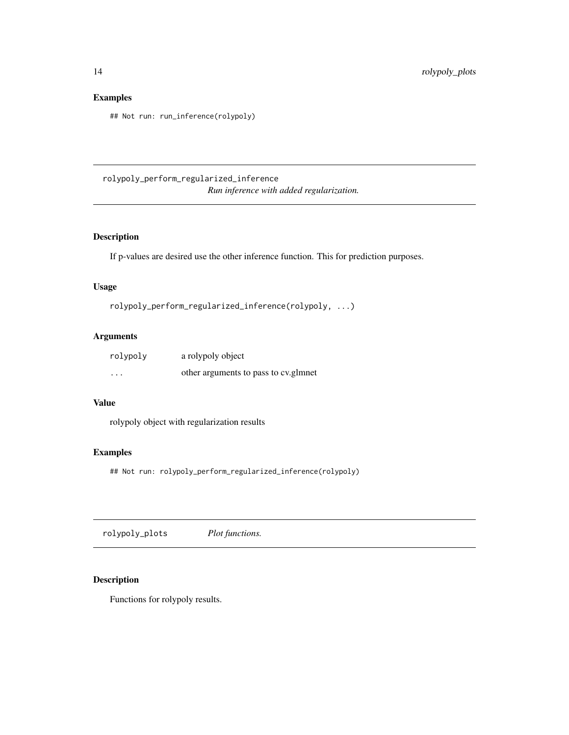#### <span id="page-13-0"></span>Examples

## Not run: run\_inference(rolypoly)

rolypoly\_perform\_regularized\_inference *Run inference with added regularization.*

#### Description

If p-values are desired use the other inference function. This for prediction purposes.

#### Usage

rolypoly\_perform\_regularized\_inference(rolypoly, ...)

#### Arguments

| rolypoly | a rolypoly object                    |
|----------|--------------------------------------|
| $\cdots$ | other arguments to pass to cy.glmnet |

#### Value

rolypoly object with regularization results

#### Examples

## Not run: rolypoly\_perform\_regularized\_inference(rolypoly)

rolypoly\_plots *Plot functions.*

#### Description

Functions for rolypoly results.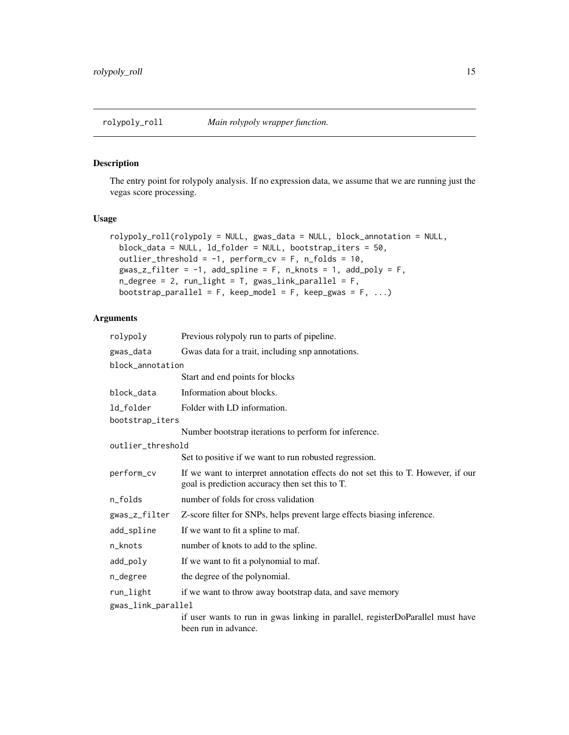<span id="page-14-0"></span>

#### Description

The entry point for rolypoly analysis. If no expression data, we assume that we are running just the vegas score processing.

#### Usage

```
rolypoly_roll(rolypoly = NULL, gwas_data = NULL, block_annotation = NULL,
 block_data = NULL, ld_folder = NULL, bootstrap_iters = 50,
 outlier_threshold = -1, perform_cv = F, n_folds = 10,
 gwas_z_filter = -1, add_spline = F, n_knots = 1, add_poly = F,
 n-degree = 2, run_light = T, gwas_link_parallel = F,
 bootstrap_parallel = F, keep_model = F, keep_gwas = F, ...)
```
#### Arguments

| rolypoly           | Previous rolypoly run to parts of pipeline.                                                                                         |  |
|--------------------|-------------------------------------------------------------------------------------------------------------------------------------|--|
| gwas_data          | Gwas data for a trait, including snp annotations.                                                                                   |  |
| block_annotation   |                                                                                                                                     |  |
|                    | Start and end points for blocks                                                                                                     |  |
| block_data         | Information about blocks.                                                                                                           |  |
| ld_folder          | Folder with LD information.                                                                                                         |  |
| bootstrap_iters    |                                                                                                                                     |  |
|                    | Number bootstrap iterations to perform for inference.                                                                               |  |
| outlier_threshold  |                                                                                                                                     |  |
|                    | Set to positive if we want to run robusted regression.                                                                              |  |
| perform_cv         | If we want to interpret annotation effects do not set this to T. However, if our<br>goal is prediction accuracy then set this to T. |  |
| n_folds            | number of folds for cross validation                                                                                                |  |
| gwas_z_filter      | Z-score filter for SNPs, helps prevent large effects biasing inference.                                                             |  |
| add_spline         | If we want to fit a spline to maf.                                                                                                  |  |
| n_knots            | number of knots to add to the spline.                                                                                               |  |
| add_poly           | If we want to fit a polynomial to maf.                                                                                              |  |
| n_degree           | the degree of the polynomial.                                                                                                       |  |
| run_light          | if we want to throw away bootstrap data, and save memory                                                                            |  |
| gwas_link_parallel |                                                                                                                                     |  |
|                    | if user wants to run in gwas linking in parallel, registerDoParallel must have<br>been run in advance.                              |  |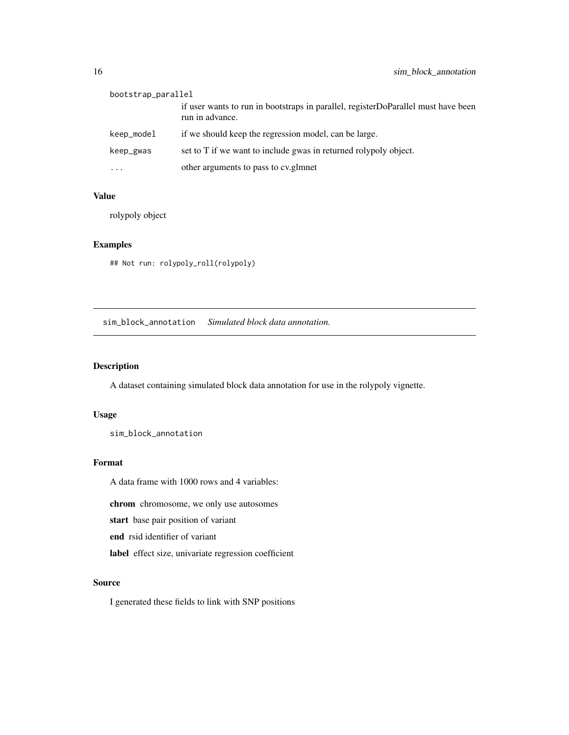<span id="page-15-0"></span>

| bootstrap_parallel |                                                                                                      |  |
|--------------------|------------------------------------------------------------------------------------------------------|--|
|                    | if user wants to run in bootstraps in parallel, registerDoParallel must have been<br>run in advance. |  |
| keep_model         | if we should keep the regression model, can be large.                                                |  |
| keep_gwas          | set to T if we want to include gwas in returned rolypoly object.                                     |  |
| $\cdots$           | other arguments to pass to cv.glmnet                                                                 |  |

#### Value

rolypoly object

#### Examples

## Not run: rolypoly\_roll(rolypoly)

sim\_block\_annotation *Simulated block data annotation.*

#### Description

A dataset containing simulated block data annotation for use in the rolypoly vignette.

#### Usage

sim\_block\_annotation

#### Format

A data frame with 1000 rows and 4 variables:

chrom chromosome, we only use autosomes

start base pair position of variant

end rsid identifier of variant

label effect size, univariate regression coefficient

#### Source

I generated these fields to link with SNP positions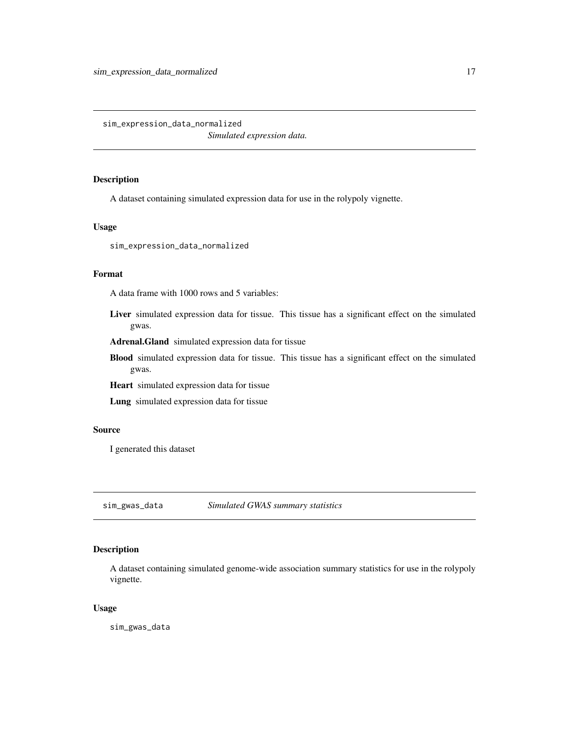<span id="page-16-0"></span>sim\_expression\_data\_normalized *Simulated expression data.*

#### Description

A dataset containing simulated expression data for use in the rolypoly vignette.

#### Usage

sim\_expression\_data\_normalized

#### Format

A data frame with 1000 rows and 5 variables:

Liver simulated expression data for tissue. This tissue has a significant effect on the simulated gwas.

Adrenal.Gland simulated expression data for tissue

Blood simulated expression data for tissue. This tissue has a significant effect on the simulated gwas.

Heart simulated expression data for tissue

Lung simulated expression data for tissue

#### Source

I generated this dataset

sim\_gwas\_data *Simulated GWAS summary statistics*

#### Description

A dataset containing simulated genome-wide association summary statistics for use in the rolypoly vignette.

#### Usage

sim\_gwas\_data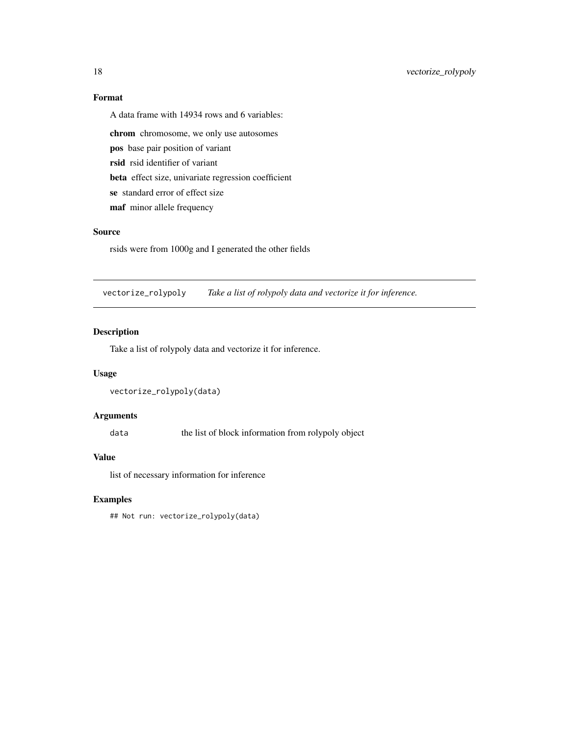#### <span id="page-17-0"></span>Format

A data frame with 14934 rows and 6 variables:

chrom chromosome, we only use autosomes pos base pair position of variant rsid rsid identifier of variant beta effect size, univariate regression coefficient se standard error of effect size

maf minor allele frequency

#### Source

rsids were from 1000g and I generated the other fields

vectorize\_rolypoly *Take a list of rolypoly data and vectorize it for inference.*

#### Description

Take a list of rolypoly data and vectorize it for inference.

#### Usage

```
vectorize_rolypoly(data)
```
#### Arguments

data the list of block information from rolypoly object

#### Value

list of necessary information for inference

#### Examples

## Not run: vectorize\_rolypoly(data)